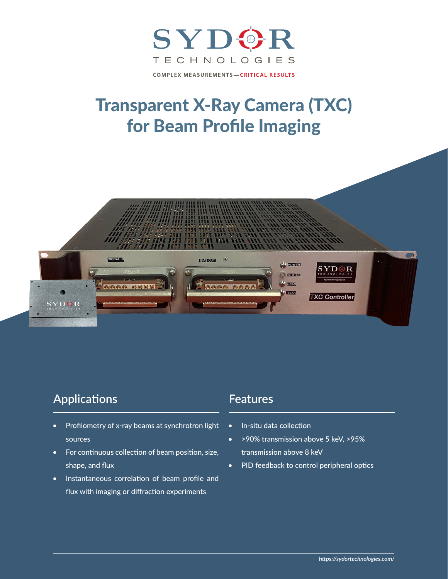

## Transparent X-Ray Camera (TXC) for Beam Profile Imaging



## **Applications**

- Profilometry of x-ray beams at synchrotron light sources
- For continuous collection of beam position, size, shape, and flux
- Instantaneous correlation of beam profile and flux with imaging or diffraction experiments

## **Features**

- In-situ data collection
- >90% transmission above 5 keV, >95% transmission above 8 keV
- PID feedback to control peripheral optics